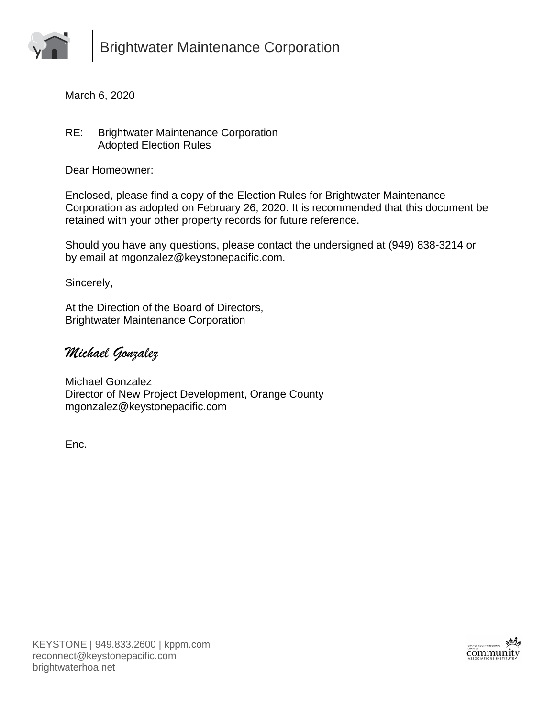

March 6, 2020

RE: Brightwater Maintenance Corporation Adopted Election Rules

Dear Homeowner:

Enclosed, please find a copy of the Election Rules for Brightwater Maintenance Corporation as adopted on February 26, 2020. It is recommended that this document be retained with your other property records for future reference.

Should you have any questions, please contact the undersigned at (949) 838-3214 or by email at mgonzalez@keystonepacific.com.

Sincerely,

At the Direction of the Board of Directors, Brightwater Maintenance Corporation

*Michael Gonzalez*

Michael Gonzalez Director of New Project Development, Orange County mgonzalez@keystonepacific.com

Enc.

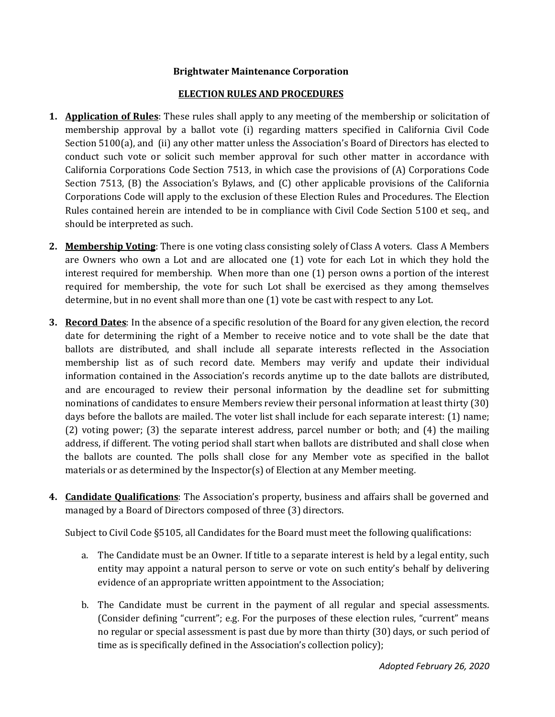## **Brightwater Maintenance Corporation**

## **ELECTION RULES AND PROCEDURES**

- **1. Application of Rules**: These rules shall apply to any meeting of the membership or solicitation of membership approval by a ballot vote (i) regarding matters specified in California Civil Code Section 5100(a), and (ii) any other matter unless the Association's Board of Directors has elected to conduct such vote or solicit such member approval for such other matter in accordance with California Corporations Code Section 7513, in which case the provisions of (A) Corporations Code Section 7513, (B) the Association's Bylaws, and (C) other applicable provisions of the California Corporations Code will apply to the exclusion of these Election Rules and Procedures. The Election Rules contained herein are intended to be in compliance with Civil Code Section 5100 et seq., and should be interpreted as such.
- **2. Membership Voting**: There is one voting class consisting solely of Class A voters. Class A Members are Owners who own a Lot and are allocated one (1) vote for each Lot in which they hold the interest required for membership. When more than one (1) person owns a portion of the interest required for membership, the vote for such Lot shall be exercised as they among themselves determine, but in no event shall more than one (1) vote be cast with respect to any Lot.
- **3. Record Dates**: In the absence of a specific resolution of the Board for any given election, the record date for determining the right of a Member to receive notice and to vote shall be the date that ballots are distributed, and shall include all separate interests reflected in the Association membership list as of such record date. Members may verify and update their individual information contained in the Association's records anytime up to the date ballots are distributed, and are encouraged to review their personal information by the deadline set for submitting nominations of candidates to ensure Members review their personal information at least thirty (30) days before the ballots are mailed. The voter list shall include for each separate interest: (1) name; (2) voting power; (3) the separate interest address, parcel number or both; and (4) the mailing address, if different. The voting period shall start when ballots are distributed and shall close when the ballots are counted. The polls shall close for any Member vote as specified in the ballot materials or as determined by the Inspector(s) of Election at any Member meeting.
- **4. Candidate Qualifications**: The Association's property, business and affairs shall be governed and managed by a Board of Directors composed of three (3) directors.

Subject to Civil Code §5105, all Candidates for the Board must meet the following qualifications:

- a. The Candidate must be an Owner. If title to a separate interest is held by a legal entity, such entity may appoint a natural person to serve or vote on such entity's behalf by delivering evidence of an appropriate written appointment to the Association;
- b. The Candidate must be current in the payment of all regular and special assessments. (Consider defining "current"; e.g. For the purposes of these election rules, "current" means no regular or special assessment is past due by more than thirty (30) days, or such period of time as is specifically defined in the Association's collection policy);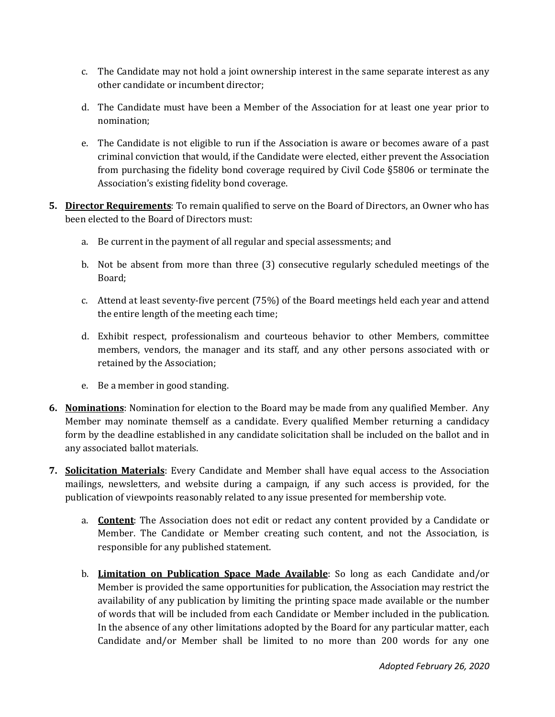- c. The Candidate may not hold a joint ownership interest in the same separate interest as any other candidate or incumbent director;
- d. The Candidate must have been a Member of the Association for at least one year prior to nomination;
- e. The Candidate is not eligible to run if the Association is aware or becomes aware of a past criminal conviction that would, if the Candidate were elected, either prevent the Association from purchasing the fidelity bond coverage required by Civil Code §5806 or terminate the Association's existing fidelity bond coverage.
- **5. Director Requirements**: To remain qualified to serve on the Board of Directors, an Owner who has been elected to the Board of Directors must:
	- a. Be current in the payment of all regular and special assessments; and
	- b. Not be absent from more than three (3) consecutive regularly scheduled meetings of the Board;
	- c. Attend at least seventy-five percent (75%) of the Board meetings held each year and attend the entire length of the meeting each time;
	- d. Exhibit respect, professionalism and courteous behavior to other Members, committee members, vendors, the manager and its staff, and any other persons associated with or retained by the Association;
	- e. Be a member in good standing.
- **6. Nominations**: Nomination for election to the Board may be made from any qualified Member. Any Member may nominate themself as a candidate. Every qualified Member returning a candidacy form by the deadline established in any candidate solicitation shall be included on the ballot and in any associated ballot materials.
- **7. Solicitation Materials**: Every Candidate and Member shall have equal access to the Association mailings, newsletters, and website during a campaign, if any such access is provided, for the publication of viewpoints reasonably related to any issue presented for membership vote.
	- a. **Content**: The Association does not edit or redact any content provided by a Candidate or Member. The Candidate or Member creating such content, and not the Association, is responsible for any published statement.
	- b. **Limitation on Publication Space Made Available**: So long as each Candidate and/or Member is provided the same opportunities for publication, the Association may restrict the availability of any publication by limiting the printing space made available or the number of words that will be included from each Candidate or Member included in the publication. In the absence of any other limitations adopted by the Board for any particular matter, each Candidate and/or Member shall be limited to no more than 200 words for any one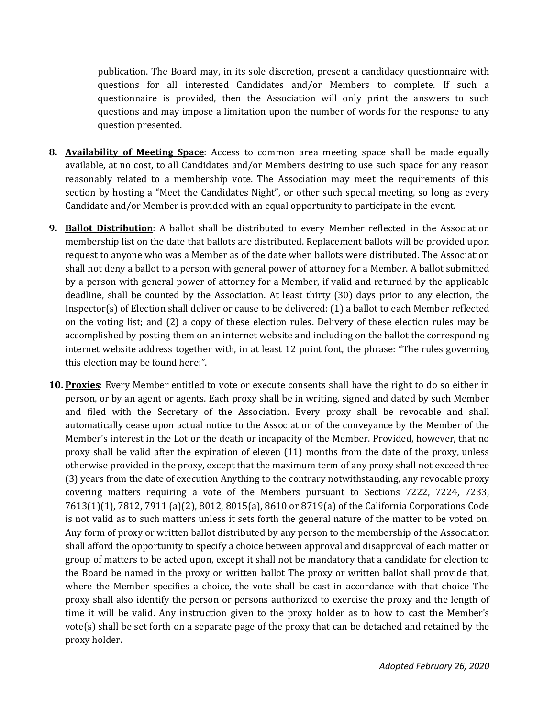publication. The Board may, in its sole discretion, present a candidacy questionnaire with questions for all interested Candidates and/or Members to complete. If such a questionnaire is provided, then the Association will only print the answers to such questions and may impose a limitation upon the number of words for the response to any question presented.

- **8. Availability of Meeting Space**: Access to common area meeting space shall be made equally available, at no cost, to all Candidates and/or Members desiring to use such space for any reason reasonably related to a membership vote. The Association may meet the requirements of this section by hosting a "Meet the Candidates Night", or other such special meeting, so long as every Candidate and/or Member is provided with an equal opportunity to participate in the event.
- **9. Ballot Distribution**: A ballot shall be distributed to every Member reflected in the Association membership list on the date that ballots are distributed. Replacement ballots will be provided upon request to anyone who was a Member as of the date when ballots were distributed. The Association shall not deny a ballot to a person with general power of attorney for a Member. A ballot submitted by a person with general power of attorney for a Member, if valid and returned by the applicable deadline, shall be counted by the Association. At least thirty (30) days prior to any election, the Inspector(s) of Election shall deliver or cause to be delivered: (1) a ballot to each Member reflected on the voting list; and (2) a copy of these election rules. Delivery of these election rules may be accomplished by posting them on an internet website and including on the ballot the corresponding internet website address together with, in at least 12 point font, the phrase: "The rules governing this election may be found here:".
- **10. Proxies**: Every Member entitled to vote or execute consents shall have the right to do so either in person, or by an agent or agents. Each proxy shall be in writing, signed and dated by such Member and filed with the Secretary of the Association. Every proxy shall be revocable and shall automatically cease upon actual notice to the Association of the conveyance by the Member of the Member's interest in the Lot or the death or incapacity of the Member. Provided, however, that no proxy shall be valid after the expiration of eleven (11) months from the date of the proxy, unless otherwise provided in the proxy, except that the maximum term of any proxy shall not exceed three (3) years from the date of execution Anything to the contrary notwithstanding, any revocable proxy covering matters requiring a vote of the Members pursuant to Sections 7222, 7224, 7233, 7613(1)(1), 7812, 7911 (a)(2), 8012, 8015(a), 8610 or 8719(a) of the California Corporations Code is not valid as to such matters unless it sets forth the general nature of the matter to be voted on. Any form of proxy or written ballot distributed by any person to the membership of the Association shall afford the opportunity to specify a choice between approval and disapproval of each matter or group of matters to be acted upon, except it shall not be mandatory that a candidate for election to the Board be named in the proxy or written ballot The proxy or written ballot shall provide that, where the Member specifies a choice, the vote shall be cast in accordance with that choice The proxy shall also identify the person or persons authorized to exercise the proxy and the length of time it will be valid. Any instruction given to the proxy holder as to how to cast the Member's vote(s) shall be set forth on a separate page of the proxy that can be detached and retained by the proxy holder.